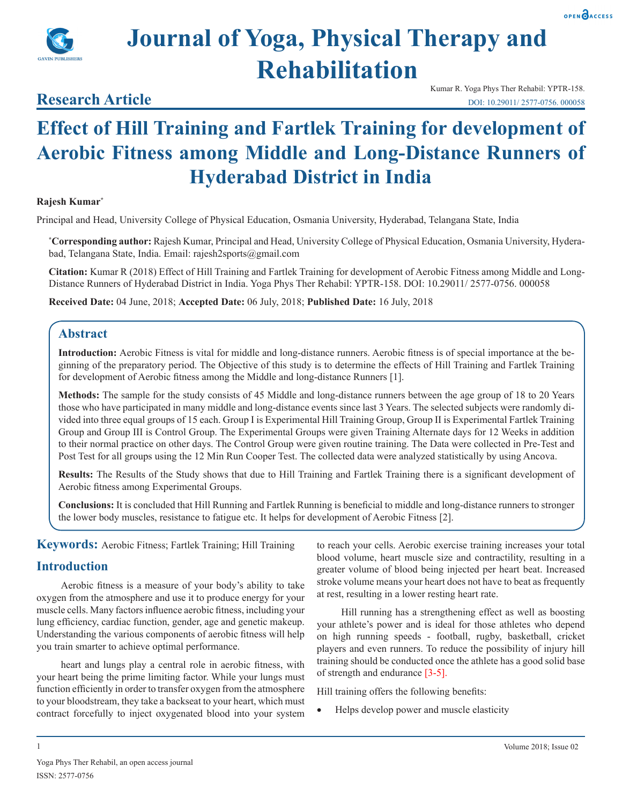

# **Journal of Yoga, Physical Therapy and Rehabilitation**

### **Research Article**

Kumar R. Yoga Phys Ther Rehabil: YPTR-158. DOI: 10.29011/ 2577-0756. 000058

## **Effect of Hill Training and Fartlek Training for development of Aerobic Fitness among Middle and Long-Distance Runners of Hyderabad District in India**

#### **Rajesh Kumar\***

Principal and Head, University College of Physical Education, Osmania University, Hyderabad, Telangana State, India

**\* Corresponding author:** Rajesh Kumar, Principal and Head, University College of Physical Education, Osmania University, Hyderabad, Telangana State, India. Email: rajesh2sports@gmail.com

**Citation:** Kumar R (2018) Effect of Hill Training and Fartlek Training for development of Aerobic Fitness among Middle and Long-Distance Runners of Hyderabad District in India. Yoga Phys Ther Rehabil: YPTR-158. DOI: 10.29011/ 2577-0756. 000058

**Received Date:** 04 June, 2018; **Accepted Date:** 06 July, 2018; **Published Date:** 16 July, 2018

#### **Abstract**

**Introduction:** Aerobic Fitness is vital for middle and long-distance runners. Aerobic fitness is of special importance at the beginning of the preparatory period. The Objective of this study is to determine the effects of Hill Training and Fartlek Training for development of Aerobic fitness among the Middle and long-distance Runners [1].

**Methods:** The sample for the study consists of 45 Middle and long-distance runners between the age group of 18 to 20 Years those who have participated in many middle and long-distance events since last 3 Years. The selected subjects were randomly divided into three equal groups of 15 each. Group I is Experimental Hill Training Group, Group II is Experimental Fartlek Training Group and Group III is Control Group. The Experimental Groups were given Training Alternate days for 12 Weeks in addition to their normal practice on other days. The Control Group were given routine training. The Data were collected in Pre-Test and Post Test for all groups using the 12 Min Run Cooper Test. The collected data were analyzed statistically by using Ancova.

**Results:** The Results of the Study shows that due to Hill Training and Fartlek Training there is a significant development of Aerobic fitness among Experimental Groups.

**Conclusions:** It is concluded that Hill Running and Fartlek Running is beneficial to middle and long-distance runners to stronger the lower body muscles, resistance to fatigue etc. It helps for development of Aerobic Fitness [2].

**Keywords:** Aerobic Fitness; Fartlek Training; Hill Training

#### **Introduction**

Aerobic fitness is a measure of your body's ability to take oxygen from the atmosphere and use it to produce energy for your muscle cells. Many factors influence aerobic fitness, including your lung efficiency, cardiac function, gender, age and genetic makeup. Understanding the various components of aerobic fitness will help you train smarter to achieve optimal performance.

heart and lungs play a central role in aerobic fitness, with your heart being the prime limiting factor. While your lungs must function efficiently in order to transfer oxygen from the atmosphere to your bloodstream, they take a backseat to your heart, which must contract forcefully to inject oxygenated blood into your system

to reach your cells. Aerobic exercise training increases your total blood volume, heart muscle size and contractility, resulting in a greater volume of blood being injected per heart beat. Increased stroke volume means your heart does not have to beat as frequently at rest, resulting in a lower resting heart rate.

Hill running has a strengthening effect as well as boosting your athlete's [power](http://www.brianmac.co.uk/power.htm) and is ideal for those athletes who depend on high running speeds - football, rugby, basketball, cricket players and even runners. To reduce the possibility of [injury](http://www.brianmac.co.uk/injury.htm) hill training should be conducted once the athlete has a good solid base of [strength](http://www.brianmac.co.uk/strength.htm) and [endurance](http://www.brianmac.co.uk/enduranc.htm) [3-5].

Hill training offers the following benefits:

Helps develop power and muscle elasticity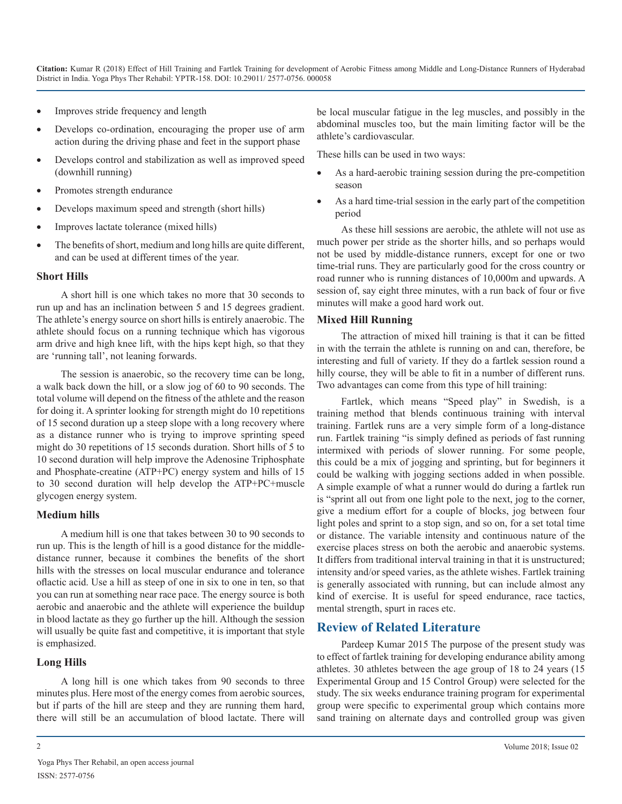**Citation:** Kumar R (2018) Effect of Hill Training and Fartlek Training for development of Aerobic Fitness among Middle and Long-Distance Runners of Hyderabad District in India. Yoga Phys Ther Rehabil: YPTR-158. DOI: 10.29011/ 2577-0756. 000058

- Improves stride frequency and length
- Develops co-ordination, encouraging the proper use of arm action during the driving phase and feet in the support phase
- Develops control and stabilization as well as improved speed (downhill running)
- Promotes strength endurance
- Develops maximum speed and strength (short hills)
- Improves lactate tolerance (mixed hills)
- The benefits of short, medium and long hills are quite different, and can be used at different times of the year.

#### **Short Hills**

A short hill is one which takes no more that 30 seconds to run up and has an inclination between 5 and 15 degrees gradient. The athlete's energy source on short hills is entirely anaerobic. The athlete should focus on a running technique which has vigorous arm drive and high knee lift, with the hips kept high, so that they are 'running tall', not leaning forwards.

The session is anaerobic, so the recovery time can be long, a walk back down the hill, or a slow jog of 60 to 90 seconds. The total volume will depend on the fitness of the athlete and the reason for doing it. A sprinter looking for strength might do 10 repetitions of 15 second duration up a steep slope with a long recovery where as a distance runner who is trying to improve sprinting speed might do 30 repetitions of 15 seconds duration. Short hills of 5 to 10 second duration will help improve the Adenosine Triphosphate and Phosphate-creatine (ATP+PC) energy system and hills of 15 to 30 second duration will help develop the ATP+PC+muscle glycogen energy system.

#### **Medium hills**

A medium hill is one that takes between 30 to 90 seconds to run up. This is the length of hill is a good distance for the middledistance runner, because it combines the benefits of the short hills with the stresses on local muscular endurance and tolerance of[actic acid.](http://www.brianmac.co.uk/lactic.htm) Use a hill as steep of one in six to one in ten, so that you can run at something near race pace. The energy source is both aerobic and anaerobic and the athlete will experience the buildup in blood lactate as they go further up the hill. Although the session will usually be quite fast and competitive, it is important that style is emphasized.

#### **Long Hills**

A long hill is one which takes from 90 seconds to three minutes plus. Here most of the energy comes from aerobic sources, but if parts of the hill are steep and they are running them hard, there will still be an accumulation of blood lactate. There will

be local muscular fatigue in the leg muscles, and possibly in the abdominal muscles too, but the main limiting factor will be the athlete's cardiovascular.

These hills can be used in two ways:

- As a hard-aerobic training session during the pre-competition season
- As a hard time-trial session in the early part of the competition period

As these hill sessions are aerobic, the athlete will not use as much power per stride as the shorter hills, and so perhaps would not be used by middle-distance runners, except for one or two time-trial runs. They are particularly good for the cross country or road runner who is running distances of 10,000m and upwards. A session of, say eight three minutes, with a run back of four or five minutes will make a good hard work out.

#### **Mixed Hill Running**

The attraction of mixed hill training is that it can be fitted in with the terrain the athlete is running on and can, therefore, be interesting and full of variety. If they do a [fartlek](http://www.brianmac.co.uk/fartlek.htm) session round a hilly course, they will be able to fit in a number of different runs. Two advantages can come from this type of hill training:

Fartlek, which means "Speed play" in [Swedish](https://en.wikipedia.org/wiki/Swedish_Language), is a training method that blends [continuous training](https://en.wikipedia.org/wiki/Continuous_training) with [interval](https://en.wikipedia.org/wiki/Interval_training) [training](https://en.wikipedia.org/wiki/Interval_training). Fartlek runs are a very simple form of a long-distance run. Fartlek training "is simply defined as periods of fast running intermixed with periods of slower running. For some people, this could be a mix of jogging and sprinting, but for beginners it could be walking with jogging sections added in when possible. A simple example of what a runner would do during a fartlek run is "sprint all out from one light pole to the next, jog to the corner, give a medium effort for a couple of blocks, jog between four light poles and sprint to a stop sign, and so on, for a set total time or distance. The variable [intensity](https://en.wikipedia.org/wiki/Exercise_intensity) and continuous nature of the exercise places stress on both the [aerobic](https://en.wikipedia.org/wiki/Aerobic_exercise) and [anaerobic](https://en.wikipedia.org/wiki/Anaerobic_exercise) systems. It differs from traditional interval training in that it is unstructured; intensity and/or speed varies, as the athlete wishes. Fartlek training is generally associated with running, but can include almost any kind of exercise. It is useful for speed endurance, race tactics, mental strength, spurt in races etc.

#### **Review of Related Literature**

Pardeep Kumar 2015 The purpose of the present study was to effect of fartlek training for developing endurance ability among athletes. 30 athletes between the age group of 18 to 24 years (15 Experimental Group and 15 Control Group) were selected for the study. The six weeks endurance training program for experimental group were specific to experimental group which contains more sand training on alternate days and controlled group was given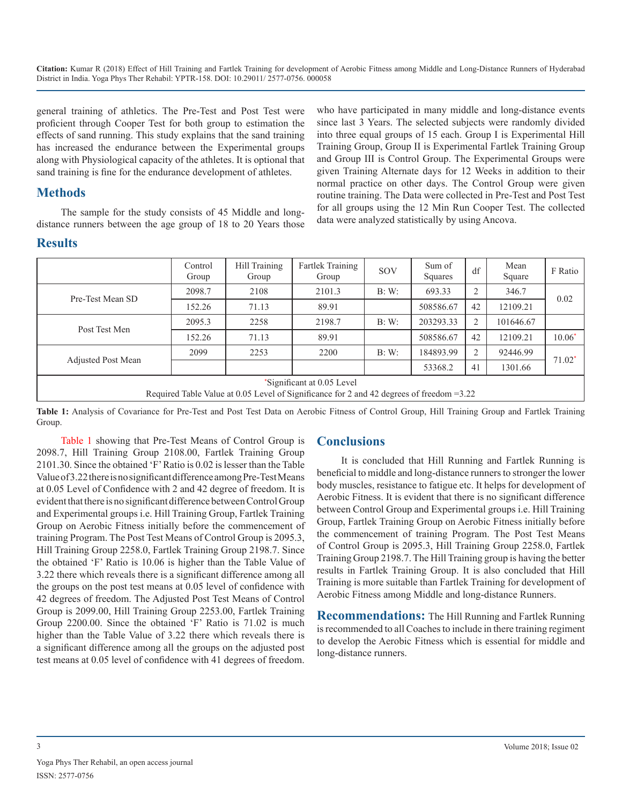**Citation:** Kumar R (2018) Effect of Hill Training and Fartlek Training for development of Aerobic Fitness among Middle and Long-Distance Runners of Hyderabad District in India. Yoga Phys Ther Rehabil: YPTR-158. DOI: 10.29011/ 2577-0756. 000058

general training of athletics. The Pre-Test and Post Test were proficient through Cooper Test for both group to estimation the effects of sand running. This study explains that the sand training has increased the endurance between the Experimental groups along with Physiological capacity of the athletes. It is optional that sand training is fine for the endurance development of athletes.

#### **Methods**

The sample for the study consists of 45 Middle and longdistance runners between the age group of 18 to 20 Years those who have participated in many middle and long-distance events since last 3 Years. The selected subjects were randomly divided into three equal groups of 15 each. Group I is Experimental Hill Training Group, Group II is Experimental Fartlek Training Group and Group III is Control Group. The Experimental Groups were given Training Alternate days for 12 Weeks in addition to their normal practice on other days. The Control Group were given routine training. The Data were collected in Pre-Test and Post Test for all groups using the 12 Min Run Cooper Test. The collected data were analyzed statistically by using Ancova.

#### **Results**

|                                                                                                                           | Control<br>Group | Hill Training<br>Group | <b>Fartlek Training</b><br>Group | SOV   | Sum of<br>Squares | df             | Mean<br>Square | F Ratio  |
|---------------------------------------------------------------------------------------------------------------------------|------------------|------------------------|----------------------------------|-------|-------------------|----------------|----------------|----------|
| Pre-Test Mean SD                                                                                                          | 2098.7           | 2108                   | 2101.3                           | B: W: | 693.33            | 2              | 346.7          | 0.02     |
|                                                                                                                           | 152.26           | 71.13                  | 89.91                            |       | 508586.67         | 42             | 12109.21       |          |
| Post Test Men                                                                                                             | 2095.3           | 2258                   | 2198.7                           | B: W: | 203293.33         | $\overline{2}$ | 101646.67      |          |
|                                                                                                                           | 152.26           | 71.13                  | 89.91                            |       | 508586.67         | 42             | 12109.21       | $10.06*$ |
| <b>Adjusted Post Mean</b>                                                                                                 | 2099             | 2253                   | 2200                             | B: W: | 184893.99         | 2              | 92446.99       | $71.02*$ |
|                                                                                                                           |                  |                        |                                  |       | 53368.2           | 41             | 1301.66        |          |
| "Significant at 0.05 Level"<br>Required Table Value at 0.05 Level of Significance for 2 and 42 degrees of freedom $=3.22$ |                  |                        |                                  |       |                   |                |                |          |

**Table 1:** Analysis of Covariance for Pre-Test and Post Test Data on Aerobic Fitness of Control Group, Hill Training Group and Fartlek Training Group.

Table 1 showing that Pre-Test Means of Control Group is 2098.7, Hill Training Group 2108.00, Fartlek Training Group 2101.30. Since the obtained 'F' Ratio is 0.02 is lesser than the Table Value of 3.22 there is no significant difference among Pre-Test Means at 0.05 Level of Confidence with 2 and 42 degree of freedom. It is evident that there is no significant difference between Control Group and Experimental groups i.e. Hill Training Group, Fartlek Training Group on Aerobic Fitness initially before the commencement of training Program. The Post Test Means of Control Group is 2095.3, Hill Training Group 2258.0, Fartlek Training Group 2198.7. Since the obtained 'F' Ratio is 10.06 is higher than the Table Value of 3.22 there which reveals there is a significant difference among all the groups on the post test means at 0.05 level of confidence with 42 degrees of freedom. The Adjusted Post Test Means of Control Group is 2099.00, Hill Training Group 2253.00, Fartlek Training Group 2200.00. Since the obtained 'F' Ratio is 71.02 is much higher than the Table Value of 3.22 there which reveals there is a significant difference among all the groups on the adjusted post test means at 0.05 level of confidence with 41 degrees of freedom.

#### **Conclusions**

It is concluded that Hill Running and Fartlek Running is beneficial to middle and long-distance runners to stronger the lower body muscles, resistance to fatigue etc. It helps for development of Aerobic Fitness. It is evident that there is no significant difference between Control Group and Experimental groups i.e. Hill Training Group, Fartlek Training Group on Aerobic Fitness initially before the commencement of training Program. The Post Test Means of Control Group is 2095.3, Hill Training Group 2258.0, Fartlek Training Group 2198.7. The Hill Training group is having the better results in Fartlek Training Group. It is also concluded that Hill Training is more suitable than Fartlek Training for development of Aerobic Fitness among Middle and long-distance Runners.

**Recommendations:** The Hill Running and Fartlek Running is recommended to all Coaches to include in there training regiment to develop the Aerobic Fitness which is essential for middle and long-distance runners.